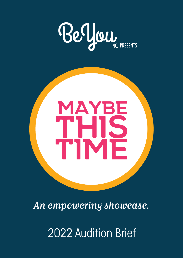



*An empowering showcase. An showcase.*

2022 Audition Brief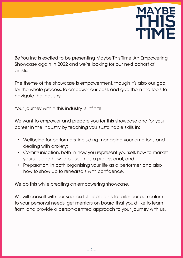### **Maybe This Time Maybe THIS Time**

Be You Inc is excited to be presenting Maybe This Time: An Empowering Showcase again in 2022 and we're looking for our next cohort of artists.

The theme of the showcase is empowerment, though it's also our goal for the whole process. To empower our cast, and give them the tools to navigate the industry.

Your journey within this industry is infinite.

We want to empower and prepare you for this showcase and for your career in the industry by teaching you sustainable skills in:

- Wellbeing for performers, including managing your emotions and dealing with anxiety;
- Communication, both in how you represent yourself, how to market yourself, and how to be seen as a professional; and
- Preparation, in both organising your life as a performer, and also how to show up to rehearsals with confidence.

We do this while creating an empowering showcase.

We will consult with our successful applicants to tailor our curriculum to your personal needs, get mentors on board that you'd like to learn from, and provide a person-centred approach to your journey with us.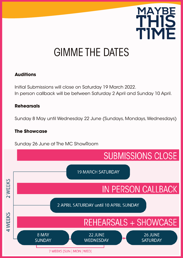

# GIMME THE DATES

### **Auditions**

Initial Submissions will close on Saturday 19 March 2022. In person callback will be between Saturday 2 April and Sunday 10 April.

#### **Rehearsals**

Sunday 8 May until Wednesday 22 June (Sundays, Mondays, Wednesdays)

#### **The Showcase**

Sunday 26 June at The MC ShowRoom

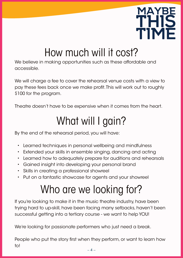

# How much will it cost?

We believe in making opportunities such as these affordable and accessible.

We will charge a fee to cover the rehearsal venue costs with a view to pay these fees back once we make profit. This will work out to roughly \$100 for the program.

Theatre doesn't have to be expensive when it comes from the heart.

# What will I gain?

By the end of the rehearsal period, you will have:

- Learned techniques in personal wellbeing and mindfulness
- Extended your skills in ensemble singing, dancing and acting
- Learned how to adequately prepare for auditions and rehearsals
- Gained insight into developing your personal brand
- Skills in creating a professional showreel
- Put on a fantastic showcase for agents and your showreel

# Who are we looking for?

If you're looking to make it in the music theatre industry, have been trying hard to up-skill, have been facing many setbacks, haven't been successful getting into a tertiary course - we want to help YOU!

We're looking for passionate performers who just need a break.

People who put the story first when they perform, or want to learn how to!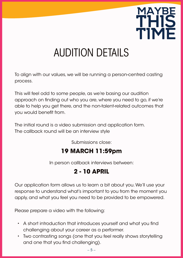

# AUDITION DETAILS

To align with our values, we will be running a person-centred casting process.

This will feel odd to some people, as we're basing our audition approach on finding out who you are, where you need to go, if we're able to help you get there, and the non-talent-related outcomes that you would benefit from.

The initial round is a video submission and application form. The callback round will be an interview style

Submissions close:

## **19 MARCH 11:59pm**

In person callback interviews between:

### **2 - 10 APRIL**

Our application form allows us to learn a bit about you. We'll use your response to understand what's important to you from the moment you apply, and what you feel you need to be provided to be empowered.

Please prepare a video with the following:

- A short introduction that introduces yourself and what you find challenging about your career as a performer.
- Two contrasting songs (one that you feel really shows storytelling and one that you find challenging).